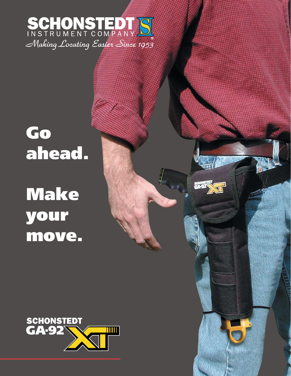

## Go ahead. Make your move.